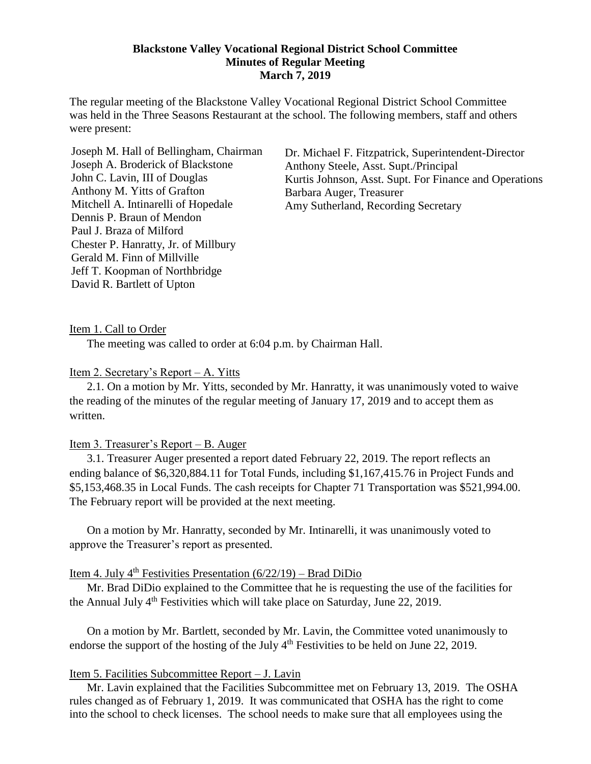#### **Blackstone Valley Vocational Regional District School Committee Minutes of Regular Meeting March 7, 2019**

The regular meeting of the Blackstone Valley Vocational Regional District School Committee was held in the Three Seasons Restaurant at the school. The following members, staff and others were present:

Joseph M. Hall of Bellingham, Chairman Joseph A. Broderick of Blackstone John C. Lavin, III of Douglas Anthony M. Yitts of Grafton Mitchell A. Intinarelli of Hopedale Dennis P. Braun of Mendon Paul J. Braza of Milford Chester P. Hanratty, Jr. of Millbury Gerald M. Finn of Millville Jeff T. Koopman of Northbridge David R. Bartlett of Upton

Dr. Michael F. Fitzpatrick, Superintendent-Director Anthony Steele, Asst. Supt./Principal Kurtis Johnson, Asst. Supt. For Finance and Operations Barbara Auger, Treasurer Amy Sutherland, Recording Secretary

Item 1. Call to Order

The meeting was called to order at 6:04 p.m. by Chairman Hall.

#### Item 2. Secretary's Report – A. Yitts

2.1. On a motion by Mr. Yitts, seconded by Mr. Hanratty, it was unanimously voted to waive the reading of the minutes of the regular meeting of January 17, 2019 and to accept them as written.

#### Item 3. Treasurer's Report – B. Auger

3.1. Treasurer Auger presented a report dated February 22, 2019. The report reflects an ending balance of \$6,320,884.11 for Total Funds, including \$1,167,415.76 in Project Funds and \$5,153,468.35 in Local Funds. The cash receipts for Chapter 71 Transportation was \$521,994.00. The February report will be provided at the next meeting.

On a motion by Mr. Hanratty, seconded by Mr. Intinarelli, it was unanimously voted to approve the Treasurer's report as presented.

#### Item 4. July  $4<sup>th</sup>$  Festivities Presentation (6/22/19) – Brad DiDio

Mr. Brad DiDio explained to the Committee that he is requesting the use of the facilities for the Annual July 4<sup>th</sup> Festivities which will take place on Saturday, June 22, 2019.

On a motion by Mr. Bartlett, seconded by Mr. Lavin, the Committee voted unanimously to endorse the support of the hosting of the July  $4<sup>th</sup>$  Festivities to be held on June 22, 2019.

#### Item 5. Facilities Subcommittee Report – J. Lavin

Mr. Lavin explained that the Facilities Subcommittee met on February 13, 2019. The OSHA rules changed as of February 1, 2019. It was communicated that OSHA has the right to come into the school to check licenses. The school needs to make sure that all employees using the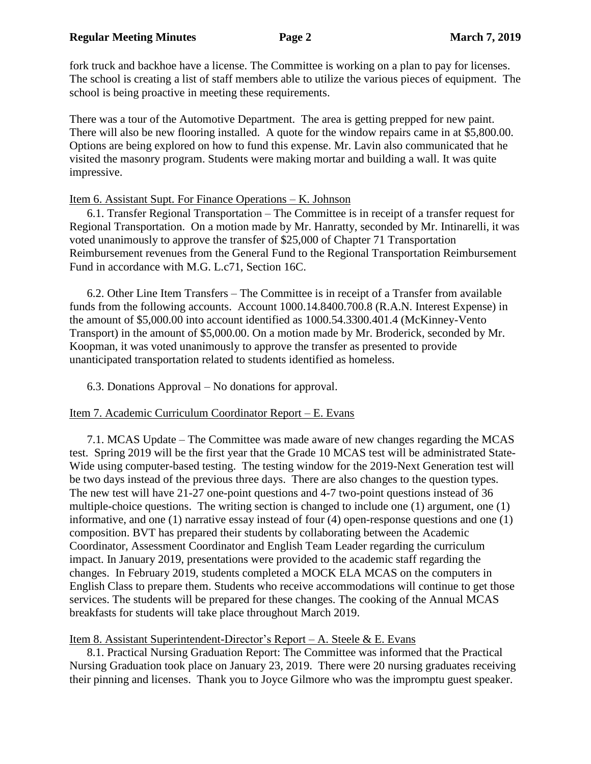fork truck and backhoe have a license. The Committee is working on a plan to pay for licenses. The school is creating a list of staff members able to utilize the various pieces of equipment. The school is being proactive in meeting these requirements.

There was a tour of the Automotive Department. The area is getting prepped for new paint. There will also be new flooring installed. A quote for the window repairs came in at \$5,800.00. Options are being explored on how to fund this expense. Mr. Lavin also communicated that he visited the masonry program. Students were making mortar and building a wall. It was quite impressive.

## Item 6. Assistant Supt. For Finance Operations – K. Johnson

6.1. Transfer Regional Transportation – The Committee is in receipt of a transfer request for Regional Transportation. On a motion made by Mr. Hanratty, seconded by Mr. Intinarelli, it was voted unanimously to approve the transfer of \$25,000 of Chapter 71 Transportation Reimbursement revenues from the General Fund to the Regional Transportation Reimbursement Fund in accordance with M.G. L.c71, Section 16C.

6.2. Other Line Item Transfers – The Committee is in receipt of a Transfer from available funds from the following accounts. Account 1000.14.8400.700.8 (R.A.N. Interest Expense) in the amount of \$5,000.00 into account identified as 1000.54.3300.401.4 (McKinney-Vento Transport) in the amount of \$5,000.00. On a motion made by Mr. Broderick, seconded by Mr. Koopman, it was voted unanimously to approve the transfer as presented to provide unanticipated transportation related to students identified as homeless.

6.3. Donations Approval – No donations for approval.

# Item 7. Academic Curriculum Coordinator Report – E. Evans

7.1. MCAS Update – The Committee was made aware of new changes regarding the MCAS test. Spring 2019 will be the first year that the Grade 10 MCAS test will be administrated State-Wide using computer-based testing. The testing window for the 2019-Next Generation test will be two days instead of the previous three days. There are also changes to the question types. The new test will have 21-27 one-point questions and 4-7 two-point questions instead of 36 multiple-choice questions. The writing section is changed to include one (1) argument, one (1) informative, and one (1) narrative essay instead of four (4) open-response questions and one (1) composition. BVT has prepared their students by collaborating between the Academic Coordinator, Assessment Coordinator and English Team Leader regarding the curriculum impact. In January 2019, presentations were provided to the academic staff regarding the changes. In February 2019, students completed a MOCK ELA MCAS on the computers in English Class to prepare them. Students who receive accommodations will continue to get those services. The students will be prepared for these changes. The cooking of the Annual MCAS breakfasts for students will take place throughout March 2019.

# Item 8. Assistant Superintendent-Director's Report – A. Steele & E. Evans

8.1. Practical Nursing Graduation Report: The Committee was informed that the Practical Nursing Graduation took place on January 23, 2019. There were 20 nursing graduates receiving their pinning and licenses. Thank you to Joyce Gilmore who was the impromptu guest speaker.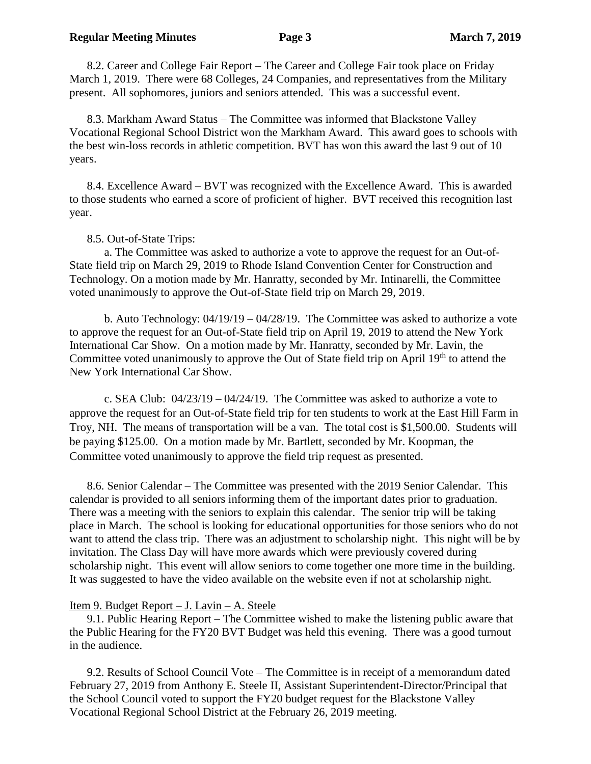8.2. Career and College Fair Report – The Career and College Fair took place on Friday March 1, 2019. There were 68 Colleges, 24 Companies, and representatives from the Military present. All sophomores, juniors and seniors attended. This was a successful event.

8.3. Markham Award Status – The Committee was informed that Blackstone Valley Vocational Regional School District won the Markham Award. This award goes to schools with the best win-loss records in athletic competition. BVT has won this award the last 9 out of 10 years.

8.4. Excellence Award – BVT was recognized with the Excellence Award. This is awarded to those students who earned a score of proficient of higher. BVT received this recognition last year.

8.5. Out-of-State Trips:

a. The Committee was asked to authorize a vote to approve the request for an Out-of-State field trip on March 29, 2019 to Rhode Island Convention Center for Construction and Technology. On a motion made by Mr. Hanratty, seconded by Mr. Intinarelli, the Committee voted unanimously to approve the Out-of-State field trip on March 29, 2019.

b. Auto Technology:  $04/19/19 - 04/28/19$ . The Committee was asked to authorize a vote to approve the request for an Out-of-State field trip on April 19, 2019 to attend the New York International Car Show. On a motion made by Mr. Hanratty, seconded by Mr. Lavin, the Committee voted unanimously to approve the Out of State field trip on April 19<sup>th</sup> to attend the New York International Car Show.

c. SEA Club: 04/23/19 – 04/24/19. The Committee was asked to authorize a vote to approve the request for an Out-of-State field trip for ten students to work at the East Hill Farm in Troy, NH. The means of transportation will be a van. The total cost is \$1,500.00. Students will be paying \$125.00. On a motion made by Mr. Bartlett, seconded by Mr. Koopman, the Committee voted unanimously to approve the field trip request as presented.

8.6. Senior Calendar – The Committee was presented with the 2019 Senior Calendar. This calendar is provided to all seniors informing them of the important dates prior to graduation. There was a meeting with the seniors to explain this calendar. The senior trip will be taking place in March. The school is looking for educational opportunities for those seniors who do not want to attend the class trip. There was an adjustment to scholarship night. This night will be by invitation. The Class Day will have more awards which were previously covered during scholarship night. This event will allow seniors to come together one more time in the building. It was suggested to have the video available on the website even if not at scholarship night.

#### Item 9. Budget Report – J. Lavin – A. Steele

9.1. Public Hearing Report – The Committee wished to make the listening public aware that the Public Hearing for the FY20 BVT Budget was held this evening. There was a good turnout in the audience.

9.2. Results of School Council Vote – The Committee is in receipt of a memorandum dated February 27, 2019 from Anthony E. Steele II, Assistant Superintendent-Director/Principal that the School Council voted to support the FY20 budget request for the Blackstone Valley Vocational Regional School District at the February 26, 2019 meeting.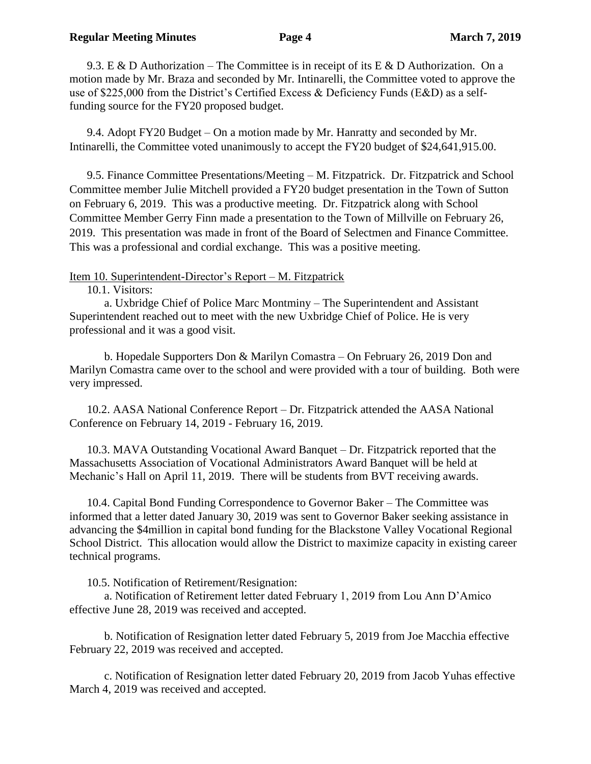#### **Regular Meeting Minutes Page 4 March 7, 2019**

9.3. E & D Authorization – The Committee is in receipt of its E & D Authorization. On a motion made by Mr. Braza and seconded by Mr. Intinarelli, the Committee voted to approve the use of \$225,000 from the District's Certified Excess & Deficiency Funds (E&D) as a selffunding source for the FY20 proposed budget.

 9.4. Adopt FY20 Budget – On a motion made by Mr. Hanratty and seconded by Mr. Intinarelli, the Committee voted unanimously to accept the FY20 budget of \$24,641,915.00.

 9.5. Finance Committee Presentations/Meeting – M. Fitzpatrick. Dr. Fitzpatrick and School Committee member Julie Mitchell provided a FY20 budget presentation in the Town of Sutton on February 6, 2019. This was a productive meeting. Dr. Fitzpatrick along with School Committee Member Gerry Finn made a presentation to the Town of Millville on February 26, 2019. This presentation was made in front of the Board of Selectmen and Finance Committee. This was a professional and cordial exchange. This was a positive meeting.

#### Item 10. Superintendent-Director's Report – M. Fitzpatrick

10.1. Visitors:

a. Uxbridge Chief of Police Marc Montminy – The Superintendent and Assistant Superintendent reached out to meet with the new Uxbridge Chief of Police. He is very professional and it was a good visit.

b. Hopedale Supporters Don & Marilyn Comastra – On February 26, 2019 Don and Marilyn Comastra came over to the school and were provided with a tour of building. Both were very impressed.

10.2. AASA National Conference Report – Dr. Fitzpatrick attended the AASA National Conference on February 14, 2019 - February 16, 2019.

10.3. MAVA Outstanding Vocational Award Banquet – Dr. Fitzpatrick reported that the Massachusetts Association of Vocational Administrators Award Banquet will be held at Mechanic's Hall on April 11, 2019. There will be students from BVT receiving awards.

10.4. Capital Bond Funding Correspondence to Governor Baker – The Committee was informed that a letter dated January 30, 2019 was sent to Governor Baker seeking assistance in advancing the \$4million in capital bond funding for the Blackstone Valley Vocational Regional School District. This allocation would allow the District to maximize capacity in existing career technical programs.

10.5. Notification of Retirement/Resignation:

 a. Notification of Retirement letter dated February 1, 2019 from Lou Ann D'Amico effective June 28, 2019 was received and accepted.

b. Notification of Resignation letter dated February 5, 2019 from Joe Macchia effective February 22, 2019 was received and accepted.

c. Notification of Resignation letter dated February 20, 2019 from Jacob Yuhas effective March 4, 2019 was received and accepted.